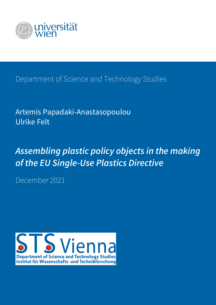

Department of Science and Technology Studies

Artemis Papadaki-Anastasopoulou Ulrike Felt

*Assembling plastic policy objects in the making of the EU Single-Use Plastics Directive*

December 2021

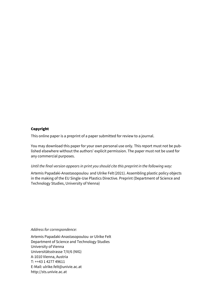#### Copyright

This online paper is a preprint of a paper submitted for review to a journal.

You may download this paper for your own personal use only. This report must not be published elsewhere without the authors' explicit permission. The paper must not be used for any commercial purposes.

#### *Until the final version appears in print you should cite this preprint in the following way:*

Artemis Papadaki-Anastasopoulou and Ulrike Felt(2021). Assembling plastic policy objects in the making of the EU Single-Use Plastics Directive. Preprint (Department of Science and Technology Studies, University of Vienna)

*Address for correspondence:*

Artemis Papadaki-Anastasopoulou or Ulrike Felt Department of Science and Technology Studies University of Vienna Universitätsstrasse 7/II/6 (NIG) A-1010 Vienna, Austria T: ++43 1 4277 49611 E-Mail: ulrike.felt@univie.ac.at http://sts.univie.ac.at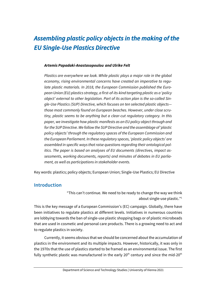# *Assembling plastic policy objects in the making of the EU Single-Use Plastics Directive*

#### *Artemis Papadaki-Anastasopoulou and Ulrike Felt*

*Plastics are everywhere we look. While plastic plays a major role in the global economy, rising environmental concerns have created an imperative to regulate plastic materials. In 2018, the European Commission published the European Union (EU) plastics strategy, a first-of-its-kind targeting plastic as a 'policy object' external to other legislation. Part of its action plan is the so-called Single-Use Plastics (SUP) Directive, which focuses on ten selected plastic objects those most commonly found on European beaches. However, under close scrutiny, plastic seems to be anything but a clear-cut regulatory category. In this paper, we investigate how plastic manifests as an EU policy object through and for the SUP Directive. We follow the SUP Directive and the assemblage of 'plastic policy objects' through the regulatory spaces of the European Commission and the European Parliament. In these regulatory spaces, 'plastic policy objects' are assembled in specific ways that raise questions regarding their ontological politics. The paper is based on analyses of EU documents (directives, impact assessments, working documents, reports) and minutes of debates in EU parliament, as well as participations in stakeholder events.*

Key words: plastics; policy objects; European Union; Single-Use Plastics; EU Directive

## **Introduction**

"This can't continue. We need to be ready to change the way we think about single-use plastic."1

This is the key message of a European Commission's (EC) campaign. Globally, there have been initiatives to regulate plastics at different levels. Initiatives in numerous countries are lobbying towards the ban of single-use plastic shopping bags or of plastic microbeads that are used in cosmetic and personal care products. There is a growing need to act and to regulate plastics in society.

Currently, it seems obvious that we should be concerned about the accumulation of plastics in the environment and its multiple impacts. However, historically, it was only in the 1970s that the use of plastics started to be framed as an environmental issue. The first fully synthetic plastic was manufactured in the early  $20<sup>th</sup>$  century and since the mid- $20<sup>th</sup>$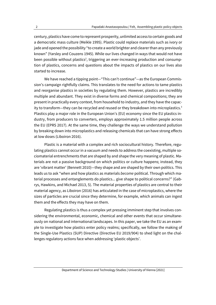century, plastics have come to represent prosperity, unlimited access to certain goods and a democratic mass culture (Meikle 1995). Plastic could replace materials such as ivory or jade and opened the possibility "to create a world brighter and clearer than any previously known" (Yarsley and Couzens 1945). While our lives changed in ways that would not have been possible without plastics<sup>2</sup>, triggering an ever-increasing production and consumption of plastics, concerns and questions about the impacts of plastics on our lives also started to increase.

We have reached a tipping point—"This can't continue"—as the European Commission's campaign rightfully claims. This translates to the need for actions to tame plastics and reorganise plastics in societies by regulating them. However, plastics are incredibly multiple and abundant. They exist in diverse forms and chemical compositions; they are present in practically every context, from household to industry, and they have the capacity to transform—they can be recycled and reused or they breakdown into microplastics.<sup>3</sup> Plastics play a major role in the European Union's (EU) economy since the EU plastics industry, from producers to converters, employs approximately 1.5 million people across the EU (EPRS 2017). At the same time, they challenge the ways we understand pollution by breaking down into microplastics and releasing chemicals that can have strong effects at low doses (Liboiron 2016).

Plastic is a material with a complex and rich sociocultural history. Therefore, regulating plastics cannot occur in a vacuum and needs to address the coexisting, multiple sociomaterial entrenchments that are shaped by and shape the very meaning of plastic. Materials are not a passive background on which politics or culture happens; instead, they are 'vibrant matter' (Bennett 2010)—they shape and are shaped by their own politics. This leads us to ask "when and how plastics as materials *become* political. Through which material processes and entanglements do plastics... give shape to political concerns?" (Gabrys, Hawkins, and Michael 2013, 5). The material properties of plastics are central to their material agency, as Liboiron (2016) has articulated in the case of microplastics, where the sizes of particles are crucial since they determine, for example, which animals can ingest them and the effects they may have on them.

Regulating plastics is thus a complex yet pressing imminent step that involves considering the environmental, economic, chemical and other events that occur simultaneously on national and international landscapes. In this paper, we take the EU as an example to investigate how plastics enter policy realms; specifically, we follow the making of the Single-Use Plastics (SUP) Directive (Directive EU 2019/904) to shed light on the challenges regulatory actions face when addressing 'plastic objects'.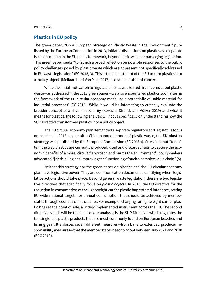#### **Plastics in EU policy**

The green paper, "On a European Strategy on Plastic Waste in the Environment," published by the European Commission in 2013, initiates discussions on plastics as a separate issue of concern in the EU policy framework, beyond basic waste or packaging legislation. This green paper seeks "to launch a broad reflection on possible responses to the public policy challenges posed by plastic waste which are at present not specifically addressed in EU waste legislation" (EC 2013, 3). This is the first attempt of the EU to turn plastics into a 'policy object' (Mellaard and Van Meijl 2017), a distinct matter of concern.

While the initial motivation to regulate plastics was rooted in concerns about plastic waste—as addressed in the 2013 green paper—we also encountered plastics soon after, in the framework of the EU circular economy model, as a potentially valuable material for industrial processes<sup>4</sup> (EC 2015). While it would be interesting to critically evaluate the broader concept of a circular economy (Kovacic, Strand, and Völker 2019) and what it means for plastics, the following analysis will focus specifically on understanding how the SUP Directive transformed plastics into a policy object.

The EU circular economy plan demanded a separate regulatory and legislative focus on plastics. In 2018, a year after China banned imports of plastic waste, the **EU plastics strategy** was published by the European Commission (EC 2018b). Stressing that "too often, the way plastics are currently produced, used and discarded fails to capture the economic benefits of a more 'circular' approach and harms the environment", policy-makers advocated "[r]ethinking and improving the functioning of such a complex value chain" (5).

Neither this strategy nor the green paper on plastics and the EU circular economy plan have legislative power. They are communication documents identifying where legislative actions should take place. Beyond general waste legislation, there are two legislative directives that specifically focus on *plastic objects*. In 2015, the EU directive for the reduction in consumption of the lightweight carrier plastic bag entered into force, setting EU-wide national targets for annual consumption that should be achieved by member states through economic instruments. For example, charging for lightweight carrier plastic bags at the point of sale, a widely implemented instrument across the EU. The second directive, which will be the focus of our analysis, is the SUP Directive, which regulates the ten single-use plastic products that are most commonly found on European beaches and fishing gear. It enforces seven different measures—from bans to extended producer responsibility measures—that the member states need to adopt between July 2021 and 2030 (EPC 2019).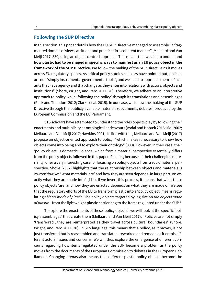#### **Following the SUP Directive**

In this section, this paper details how the EU SUP Directive managed to assemble "a fragmented domain of views, attitudes and practices in a coherent manner" (Mellaard and Van Meijl 2017, 330) using an object-centred approach. This means that we aim to understand **how plastic had to be shaped in specific ways to manifest as an EU policy object in the framework of the SUP Directive.** We follow the making of the SUP Directive as it moves across EU regulatory spaces. As critical policy studies scholars have pointed out, policies are not "simply instrumental governmental tools", and we need to approach them as "actants that have agency and that change as they enter into relations with actors, objects and institutions" (Shore, Wright, and Però 2011, 20). Therefore, we adhere to an interpretive approach to policy while 'following the policy' through its translations and assemblages (Peck and Theodore 2012; Clarke et al. 2015). In our case, we follow the making of the SUP Directive through the publicly available materials (documents, debates) produced by the European Commission and the EU Parliament.

STS scholars have attempted to understand the roles objects play by following their enactments and multiplicity as ontological endeavours (Asdal and Hobæk 2016; Mol 2002; Mellaard and Van Meijl 2017; Hawkins 2001). In line with this, Mellaard and Van Meijl (2017) propose an object-oriented approach to policy, "which makes it necessary to know how objects come into being and to explore their ontology" (330). However, in their case, their 'policy object' is domestic violence, which from a material perspective essentially differs from the policy objects followed in this paper. Plastics, because of their challenging materiality, offer a very interesting case for focusing on policy objects from a sociomaterial perspective. Shove (2007) highlights that the relationship between objects and materials is *co-constitutive*: "What materials 'are' and how they are seen depends, in large part, on exactly what they are made into" (114). If we invert this process, it means that what these policy objects 'are' and how they are enacted depends on what they are made of. We see that the regulatory efforts of the EU to transform plastic into a 'policy object' means regulating *objects made of plastic.* The policy objects targeted by legislation are *objects made of plastic*—from the lightweight plastic carrier bag to the items regulated under the SUP.5

To explore the enactments of these 'policy objects', we will look at the specific 'policy assemblages' that create them (Mellaard and Van Meijl 2017). "Policies are not simply 'transferred', they are reinterpreted as they travel across cultural boundaries" (Shore, Wright, and Però 2011, 20). In STS language, this means that a policy, as it moves, is not just transferred but is reassembled and translated, reworked and remade as it enrols different actors, issues and concerns. We will thus explore the emergence of different concerns regarding how items regulated under the SUP become a problem as the policy moves from the documents of the European Commission to debates in the European Parliament. Changing arenas also means that different plastic policy objects become the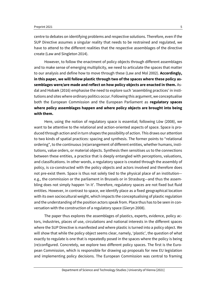centre to debates on identifying problems and respective solutions. Therefore, even if the SUP Directive assumes a singular reality that needs to be restrained and regulated, we have to attend to the different realities that the respective assemblages of the directive create (Law and Singleton 2014).

However, to follow the enactment of policy objects through different assemblages and to make sense of emerging multiplicity, we need to articulate the spaces that matter to our analysis and define how to move through these (Law and Mol 2002). **Accordingly, in this paper, we will follow plastic through two of the spaces where these policy assemblages were/are made and reflect on how policy objects are enacted in them.** Asdal and Hobæk (2016) emphasise the need to explore such 'assembling practices' in institutions and sites where ordinary politics occur. Following this argument, we conceptualise both the European Commission and the European Parliament as **regulatory spaces where policy assemblages happen and where policy objects are brought into being with them.**

Here, using the notion of regulatory space is essential; following Löw (2008), we want to be attentive to the relational and action-oriented aspects of space. Space is produced through action and in turn shapes the possibility of action. This draws our attention to two kinds of spatial practices: spacing and synthesis. The former points to "relational ordering", to the continuous (re)arrangement of different entities, whether humans, institutions, value orders, or material objects. Synthesis then sensitises us to the connections between these entities, a practice that is deeply entangled with perceptions, valuations, and classifications. In other words, a regulatory space is created through the assembly of policy, is co-constructed with the policy objects and actors involved and therefore does not pre-exist them. Space is thus not solely tied to the physical place of an institution e.g., the commission or the parliament in Brussels or in Strasburg—and thus the assembling does not simply happen 'in it'. Therefore, regulatory spaces are not fixed but fluid entities. However, in contrast to space, we identify place as a fixed geographical location with its own sociocultural weight, which impacts the conceptualising of plastic regulation and the understanding of the position actors speak from. Place thus has to be seen in conversation with the construction of a regulatory space (Gieryn 2008).

The paper thus explores the assemblages of plastics, experts, evidence, policy actors, industries, places of use, circulations and national interests in the different spaces where the SUP Directive is manifested and where plastic is turned into a policy object. We will show that while the policy object seems clear, namely, 'plastic', the question of what exactly to regulate is one that is repeatedly posed in the spaces where the policy is being (re)configured. Concretely, we explore two different policy spaces. The first is the European Commission, which is responsible for drawing up proposals for new EU legislation and implementing policy decisions. The European Commission was central to framing

Department of Science and Technology Studies | University of Vienna [2021]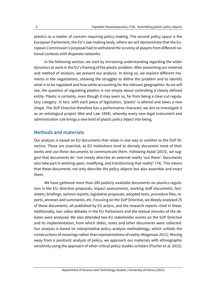plastics as a matter of concern requiring policy-making. The second policy space is the European Parliament, the EU's law-making body, where we will demonstrate that the European Commission's proposal had to withstand the scrutiny of players from different national contexts with disparate networks.

In the following section, we start by increasing understanding regarding the wider dynamics at work in the EU's framing of the plastic problem. After presenting our material and method of analysis, we present our analysis. In doing so, we explore different moments in the negotiations, showing the struggles to define the problem and to identify what is to be regulated and how while accounting for the relevant geographies. As we will see, the question of regulating plastics is not simply about controlling a clearly defined entity. Plastic is certainly, even though it may seem so, far from being a clear-cut regulatory category. In fact, with each piece of legislation, 'plastic' is altered and takes a new shape. The SUP Directive therefore has a performative character; we aim to investigate it as an ontological project (Mol and Law 1994), whereby every new legal instrument and administrative rule brings a new kind of plastic policy object into being.

## **Methods and materials**

Our analysis is based on EU documents that relate in one way or another to the SUP Directive. These are essential, as EU institutions tend to densely document most of their works and use these documents to communicate them. Following Asdal (2015), we suggest that documents do "not simply describe an external reality 'out there': Documents also take part in working upon, modifying, and transforming that reality" (74). This means that these documents not only describe the policy objects but also assemble and enact them.

We have gathered more than 200 publicly available documents on plastics regulation in the EU: directive proposals, impact assessments, working staff documents, factsheets, briefings, opinion reports, legislative proposals, adopted texts, procedure files, reports, annexes and summaries, etc. Focusing on the SUP Directive, we deeply analysed 25 of these documents, all published by EU actors, and the research reports cited in these. Additionally, two video debates in the EU Parliament and the textual minutes of the debates were analysed. We also attended two EU stakeholder events on the SUP Directive and its implementation, from which slides, notes and other documents were collected. Our analysis is based on interpretative policy analysis methodology, which unfolds the constructions of meanings rather than representations of reality (Wagenaar 2011). Moving away from a positivist analysis of policy, we approach our materials with ethnographic sensitivity using the approach of other critical policy studies scholars (Fischer et al. 2015).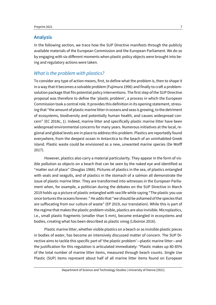#### **Analysis**

In the following section, we trace how the SUP Directive manifests through the publicly available materials of the European Commission and the European Parliament. We do so by engaging with six different moments when plastic policy objects were brought into being and regulatory actions were taken.

## *What is the problem with plastics?*

To consider any type of action means, first, to define what the problem is, then to shape it in a way that it becomes a solvable problem (Fujimura 1996) and finally to craft a problemsolution package that fits potential policy interventions. The first step of the SUP Directive proposal was therefore to define the 'plastic problem', a process in which the European Commission took a central role. It provides this definition in its opening statement, stressing that "the amount of plastic marine litter in oceans and seas is growing, to the detriment of ecosystems, biodiversity and potentially human health, and causes widespread concern" (EC 2018c, 1). Indeed, marine litter and specifically plastic marine litter have been widespread environmental concerns for many years. Numerous initiatives at the local, regional and global levels are in place to address this problem. Plastics are reportedly found everywhere, from the deepest ocean in Antarctica to the beach of an uninhabited Greek island. Plastic waste could be envisioned as a new, unwanted marine species (De Wolff 2017).

However, plastics also carry a material particularity. They appear in the form of visible pollution as objects on a beach that can be seen by the naked eye and identified as "matter out of place" (Douglas 1966). Pictures of plastics in the sea, of plastics entangled with seals and seagulls, and of plastics in the stomach of a salmon all demonstrate the issue of plastic marine litter. They are transformed into witnesses in the European Parliament when, for example, a politician during the debates on the SUP Directive in March 2019 holds up a picture of plastic entangled with sea life while saying "The plastic you use once tortures the oceans forever." He adds that "we should be ashamed of the species that are suffocating from our culture of waste" (EP 2019, our translation). While this is part of the regime that makes the plastic problem visible, plastics are also invisible. Microplastics, i.e., small plastic fragments (smaller than 5 mm), become entangled in ecosystems and bodies, creating what has been described as plastic smog (Liboiron 2016).

Plastic marine litter, whether visible plastics on a beach or as invisible plastic pieces in bodies of water, has become an intensively discussed matter of concern. The SUP Directive aims to tackle this specific part of 'the plastic problem'—plastic marine litter—and the justification for this regulation is articulated immediately: "Plastic makes up 80-85% of the total number of marine litter items, measured through beach counts. Single Use Plastic (SUP) items represent about half of all marine litter items found on European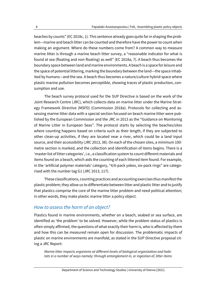beaches by counts" (EC 2018c, 1). This sentence already goes quite far in shaping the problem—marine and beach litter can be counted and therefore have the power to count when making an argument. Where do these numbers come from? A common way to measure marine litter is through a marine beach litter survey, a "reasonable indicator for what is found at sea (floating and non-floating) as well" (EC 2018a, 7). A beach thus becomes the boundary space between land and marine environments. A beach is a space for leisure and the space of potential littering, marking the boundary between the land—the space inhabited by humans—and the sea. A beach thus becomes a nature/culture hybrid space where plastic marine pollution becomes perceptible, showing traces of plastic production, consumption and use.

The beach survey protocol used for the SUP Directive is based on the work of the Joint Research Centre (JRC), which collects data on marine litter under the Marine Strategy Framework Directive (MSFD) (Commission 2018a). Protocols for collecting and assessing marine litter data with a special section focused on beach marine litter were published by the European Commission and the JRC in 2013 as the "Guidance on Monitoring of Marine Litter in European Seas". The protocol starts by selecting the beaches/sites where counting happens based on criteria such as their length, if they are subjected to other clean-up activities, if they are located near a river, which could be a land input source, and their accessibility (JRC 2013, 38). On each of the chosen sites, a minimum 100 metre section is marked, and the collection and identification of items begins. There is a 'master list of litter categories', i.e., a classification system to count different materials and items found on a beach, which aids the counting of each littered item found. For example, in the 'artificial polymer materials' category, "4/6-pack yokes, six-pack rings" are categorised with the number tag G1 (JRC 2013, 117).

These classifications, counting practices and accounting exercises thus manifest the plastic problem; they allow us to differentiate between litter and plastic litter and to justify that plastics comprise the core of the marine litter problem and need political attention; in other words, they make plastic marine litter a policy object.

#### *How to assess the harm of an object?*

Plastics found in marine environments, whether on a beach, seabed or sea surface, are identified as 'the problem' to be solved. However, while the problem status of plastics is often simply affirmed, the questions of what exactly their harm is, who is affected by them and how this can be measured remain open for discussion. The problematic impacts of plastic on marine environments are manifold, as stated in the SUP Directive proposal citing a JRC Report:

*Marine litter impacts organisms at different levels of biological organization and habitats in a number of ways namely: through entanglement in, or ingestion of, litter items*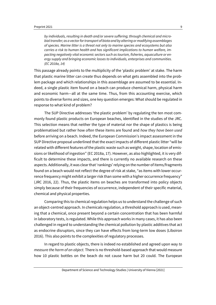*by individuals, resulting in death and/or severe suffering; through chemical and microbial transfer; as a vector for transport of biota and by altering or modifying assemblages of species. Marine litter is a threat not only to marine species and ecosystems but also carries a risk to human health and has significant implications to human welfare, impacting negatively vital economic sectors such as tourism, fisheries, aquaculture or energy supply and bringing economic losses to individuals, enterprises and communities. (EC 2018a, 14)*

This passage already points to the multiplicity of the 'plastic problem' at stake. The harm that plastic marine litter can create thus depends on what gets assembled into the problem package and which relationships in this assemblage are assumed to be essential. Indeed, a single plastic item found on a beach can produce chemical harm, physical harm and economic harm—all at the same time. Thus, from this accounting exercise, which points to diverse forms and sizes, one key question emerges: What should be regulated in response to what kind of problem?

The SUP Directive addresses 'the plastic problem' by regulating the ten most commonly found plastic products on European beaches, identified in the studies of the JRC. This selection means that neither the type of material nor the shape of plastics is being problematised but rather how *often* these items are found and *how they have been used* before arriving on a beach. Indeed, the European Commission's impact assessment in the SUP Directive proposal underlined that the exact impacts of different plastic litter "will be related with different features of the plastic waste such as weight, shape, location of emissions or likelihood of ingestion" (EC 2018a, 17). However, as also highlighted, it is very difficult to determine these impacts, and there is currently no available research on these aspects. Additionally, it was clear that 'rankings' relying on the number of items/fragments found on a beach would not reflect the degree of risk at stake, "as items with lower occurrence frequency might exhibit a larger risk than some with a higher occurrence frequency" (JRC 2016, 22). Thus, the plastic items on beaches are transformed into policy objects simply because of their frequencies of occurrence, independent of their specific material, chemical and physical properties.

Comparing this to chemical regulation helps us to understand the challenge of such an object-centred approach. In chemicals regulation, a threshold approach is used, meaning that a chemical, once present beyond a certain concentration that has been harmful in laboratory tests, is regulated. While this approach works in many cases, it has also been challenged in regard to understanding the chemical pollution by plastic additives that act as endocrine disruptors, since they can have effects from long-term low doses (Liboiron 2016). This also points to the complexities of regulatory processes.

In regard to plastic objects, there is indeed no established and agreed upon way *to measure the harm of an object.* There is no threshold-based approach that would measure how 10 plastic bottles on the beach do not cause harm but 20 could. The European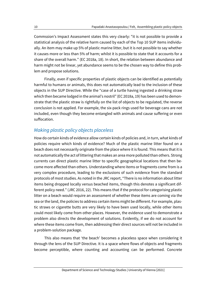Commssion's Impact Assessment states this very clearly: "it is not possible to provide a statistical analysis of the relative harm caused by each of the Top 10 SUP items individually. An item may make up 5% of plastic marine litter, but it is not possible to say whether it causes more or less than 5% of harm; whilst it is possible to state that it accounts for a share of the overall harm." (EC 2018a, 18). In short, the relation between abundance and harm might not be linear, yet abundance seems to be the chosen way to define this problem and propose solutions.

Finally, even if specific properties of plastic objects can be identified as potentially harmful to humans or animals, this does not automatically lead to the inclusion of these objects in the SUP Directive. While the "case of a turtle having ingested a drinking straw which then became lodged in the animal's nostril" (EC 2018a, 19) has been used to demonstrate that the plastic straw is rightfully on the list of objects to be regulated, the reverse conclusion is not applied. For example, the six-pack rings used for beverage cans are not included, even though they become entangled with animals and cause suffering or even suffocation.

# *Making plastic policy objects placeless*

How do certain kinds of evidence allow certain kinds of policies and, in turn, what kinds of policies require which kinds of evidence? Much of the plastic marine litter found on a beach does not necessarily originate from the place where it is found. This means that it is not automatically the act of littering that makes an area more polluted than others. Strong currents can direct plastic marine litter to specific geographical locations that then become more affected than others. Understanding where items or fragments come from is a very complex procedure, leading to the exclusions of such evidence from the standard protocols of most studies. As noted in the JRC report, "There is no information about litter items being dropped locally versus beached items, though this denotes a significant different policy need." (JRC 2016, 22). This means that if the protocol for categorising plastic litter on a beach would require an assessment of whether these items are coming via the sea or the land, the policies to address certain items might be different. For example, plastic straws or cigarette butts are very likely to have been used locally, while other items could most likely come from other places. However, the evidence used to demonstrate a problem also directs the development of solutions. Evidently, if we do not account for where these items come from, then addressing their direct sources will not be included in a problem-solution package.

This also means that 'the beach' becomes a placeless space when considering it through the lens of the SUP Directive. It is a space where flows of objects and fragments become perceptible, where counting and accounting can be performed. Concrete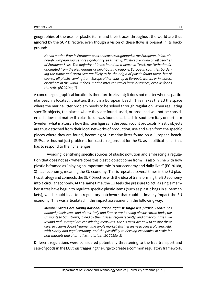geographies of the uses of plastic items and their traces throughout the world are thus ignored by the SUP Directive, even though a vision of these flows is present in its background:

*Not all marine litter in European seas or beaches originated in the European Union, although European sources are significant (see Annex 3). Plastics are found on all beaches of European Seas. The majority of items found on a beach in Texel, the Netherlands, originated from the Netherlands or neighbouring regions. European countries bordering the Baltic and North Sea are likely to be the origin of plastic found there, but of course, all plastic coming from Europe either ends up in Europe's waters or in waters elsewhere in the world. Indeed, marine litter can travel large distances, even as far as the Artic. (EC 2018a, 7)*

A concrete geographical location is therefore irrelevant; it does not matter where a particular beach is located; it matters that it is a European beach. This makes the EU the space where the marine litter problem needs to be solved through regulation. When regulating specific objects, the places where they are found, used, or produced will not be considered. It does not matter if a plastic cup was found on a beach in southern Italy or northern Sweden; what matters is how this item figures in the beach count protocols. Plastic objects are thus detached from their local networks of production, use and even from the specific places where they are found, becoming SUP marine litter found on a European beach. SUPs are thus not just problems for coastal regions but for the EU as a political space that has to respond to their challenges.

Avoiding identifying specific sources of plastic pollution and embracing a regulation that does not ask 'where does this plastic object come from?' is also in line with how plastic is framed as "playing an important role in our economy and daily lives" (EC 2018a, 3)—*our* economy, meaning the EU economy. This is repeated several times in the EU plastics strategy and connects the SUP Directive with the idea of transforming the EU economy into a circular economy. At the same time, the EU feels the pressure to act, as single member states have begun to regulate specific plastic items (such as plastic bags in supermarkets), which could lead to a regulatory patchwork that could ultimately impact the EU economy. This was articulated in the impact assessment in the following way:

*Member States are taking national action against single use plastic. France has banned plastic cups and plates, Italy and France are banning plastic cotton buds, the UK wants to ban straws, joined by the Brussels region recently, and other countries like Ireland and Portugal are considering measures. The EU must act now to ensure these diverse actions do not fragment the single market. Businesses need a level playing field, with clarity and legal certainty, and the possibility to develop economies of scale for new markets and alternative materials. (EC 2018a, 5)*

Different regulations were considered potentially threatening to the free transport and sale of goods in the EU, thus triggering the urge to create a common regulatory framework.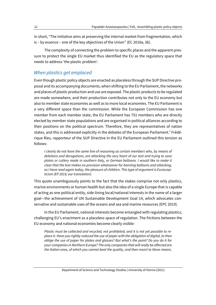In short, "The initiative aims at preserving the internal market from fragmentation, which is – by essence – one of the key objectives of the Union" (EC 2018a, 36).

The complexity of connecting the problem to specific places and the apparent pressure to protect the single EU market thus identified the EU as the regulatory space that needs to address 'the plastic problem'.

## *When plastics get emplaced*

Even though plastic policy objects are enacted as placeless through the SUP Directive proposal and its accompanying documents, when shifting to the EU Parliament, the networks and places of plastic production and use are exposed. The plastic products to be regulated are made somewhere, and their production contributes not only to the EU economy but also to member state economies as well as to more local economies. The EU Parliament is a very different space than the commission. While the European Commission has one member from each member state, the EU Parliament has 751 members who are directly elected by member state populations and are organised in political alliances according to their positions on the political spectrum. Therefore, they are representatives of nation states, and this is addressed explicitly in the debates of the European Parliament.<sup>6</sup> Frédérique Ries, rapporteur of the SUP Directive in the EU Parliament outlined this tension as follows:

*I clearly do not have the same line of reasoning as certain members who, by means of deletions and derogations, are attacking the very heart of our text and trying to save plates or cutlery made in southern Italy, or German balloons. I would like to make it clear that the text makes no provision whatsoever for banning balloons and attacking, as I have read again today, the pleasure of children. This type of argument is Euroscepticism (EP 2018, our translation).*

This quote unambiguously points to the fact that the stakes comprise not only plastics, marine environments or human health but also the idea of a single Europe that is capable of acting as one political entity, side-lining local/national interests in the name of a larger goal—the achievement of UN Sustainable Development Goal 14, which advocates conservative and sustainable uses of the oceans and sea and marine resources (EPC 2019).

In the EU Parliament, national interests become entangled with regulating plastics, challenging EU's enactment as a placeless space of regulation. The frictions between the EU economy and national economies become clearly visible:

*Plastic must be collected and recycled, not prohibited, and it is not yet possible to replace it. Have you rightly reduced the use of paper with the obligation of digital, to then oblige the use of paper for plates and glasses? But what's the point? Do you do it for your companies in Northern Europe? The only companies that will really be affected are the Italian ones, of which you cannot beat the quality, and then resort to these means.*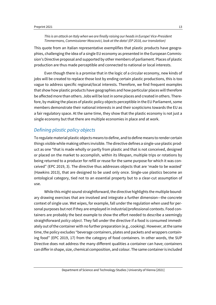#### *This is an attack on Italy when we are finally raising our heads in Europe! Vice-President Timmermans, Commissioner Moscovici, look at the data! (EP 2018, our translation)*

This quote from an Italian representative exemplifies that plastic products have geographies, challenging the idea of a single EU economy as presented in the European Commission's Directive proposal and supported by other members of parliament. Places of plastic production are thus made perceptible and connected to national or local interests.

Even though there is a promise that in the logic of a circular economy, new kinds of jobs will be created to replace those lost by ending certain plastic productions, this is too vague to address specific regional/local interests. Therefore, we find frequent examples that show how plastic products have geographies and how particular places will therefore be affected more than others. Jobs will be lost in some places and created in others. Therefore, by making the places of plastic policy objects perceptible in the EU Parliament, some members demonstrate their national interests in and their scepticisms towards the EU as a fair regulatory space. At the same time, they show that the plastic economy is not just a single economy but that there are multiple economies in place and at work.

## *Defining plastic policy objects*

To regulate material plastic objects means to define, and to define means to render certain things visible while making others invisible. The directive defines a single-use plastic product as one "that is made wholly or partly from plastic and that is not conceived, designed or placed on the market to accomplish, within its lifespan, multiple trips or rotations by being returned to a producer for refill or reuse for the same purpose for which it was conceived" (EPC 2019, 3). The directive thus addresses objects that are 'made to be wasted' (Hawkins 2013), that are designed to be used only once. Single-use plastics become an ontological category, tied not to an essential property but to a clear-cut assumption of use.

While this might sound straightforward, the directive highlights the multiple boundary drawing exercises that are involved and integrate a further dimension—the concrete context of single use. Wet wipes, for example, fall under the regulation when used for personal purposes but not if they are employed in industrial/professional contexts. Food containers are probably the best example to show the effort needed to describe a seemingly straightforward *policy object*. They fall under the directive if a food is consumed immediately out of the container with no further preparation (e.g., cooking). However, at the same time, the policy excludes "beverage containers, plates and packets and wrappers containing food" (EPC 2019, 17) from the category of food containers. In other words, the SUP Directive does not address the many different qualities a container can have; containers can differ in shape, size, chemical composition, and colour. The same container is included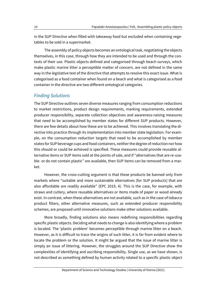in the SUP Directive when filled with takeaway food but excluded when containing vegetables to be sold in a supermarket.

The assembly of policy objects becomes an ontological task, negotiating the objects themselves, in this case, through how they are intended to be used and through the contexts of their use. Plastic objects defined and categorised through beach surveys, which make plastic marine litter a perceptible matter of concern, are not defined in the same way in the legislative text of the directive that attempts to resolve this exact issue. What is categorised as a food container when found on a beach and what is categorised as a food container in the directive are two different ontological categories.

#### *Finding Solutions*

The SUP Directive outlines seven diverse measures ranging from consumption reductions to market restrictions, product design requirements, marking requirements, extended producer responsibility, separate collection objectives and awareness-raising measures that need to be accomplished by member states for different SUP products. However, there are few details about how these are to be achieved. This involves translating the directive into practice through its implementation into member state legislation. For example, on the consumption reduction targets that need to be accomplished by member states for SUP beverage cups and food containers, neither the degree of reduction nor how this should or could be achieved is specified. These measures could provide reusable alternative items or SUP items sold at the points of sale, and if "alternatives that are re-usable- or do not contain plastic" are available, then SUP items can be removed from a market.

However, the cross-cutting argument is that these products be banned only from markets where "suitable and more sustainable alternatives [for SUP products] that are also affordable are readily available" (EPC 2019, 4). This is the case, for example, with straws and cutlery, where reusable alternatives or items made of paper or wood already exist. In contrast, when these alternatives are not available, such as in the case of tobacco product filters, other alternative measures, such as extended producer responsibility schemes, are proposed until innovative solutions make other solutions available.

More broadly, finding solutions also means redefining responsibilities regarding specific plastic objects. Deciding what needs to change is also identifying where a problem is located. The 'plastic problem' becomes perceptible through marine litter on a beach. However, as it is difficult to trace the origins of such litter, it is far from evident where to locate the problem or the solution. It might be argued that the issue of marine litter is simply an issue of littering. However, the struggles around the SUP Directive show the complexities of identifying and ascribing responsibility. Single use, as we have shown, is not described as something defined by human activity related to a specific plastic object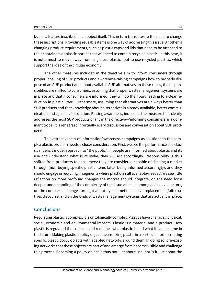#### Preprint 2021 2021

but as a feature inscribed in an object itself. This in turn translates to the need to change these inscriptions. Providing reusable items is one way of addressing this issue. Another is changing product requirements, such as plastic caps and lids that need to be attached to their containers or plastic bottles that will need to contain recycled plastic. In this case, it is not a must to move away from single-use plastics but to use recycled plastics, which support the idea of the circular economy.

The other measures included in the directive aim to inform consumers through proper labelling of SUP products and awareness-raising campaigns how to properly dispose of an SUP product and about available SUP alternatives. In these cases, the responsibilities are shifted to consumers, assuming that proper waste management systems are in place and that if consumers are informed, they will do their part, leading to a clear reduction in plastic litter. Furthermore, assuming that alternatives are always better than SUP products and that knowledge about alternatives is already available, better communication is staged as *the* solution. Raising awareness, indeed, is the measure that clearly addresses the most SUP products of any in the directive—'informing consumers' is a dominant trope. It is rehearsed in virtually every discussion and conversation about SUP prod $ucts^7$ .

This attractiveness of information/awareness campaigns as solutions to the complex plastic problem needs a closer consideration. First, we see the performance of a classical deficit model approach to "the public". If people are informed about plastic and its use and understand what is at stake, they will act accordingly. Responsibility is thus shifted from producers to consumers: they are considered capable of shaping a market through (not) buying specific plastic items (after being informed accordingly), and they should engage in recycling in segments where plastic is still available/needed. We see little reflection on more profound changes the market should integrate, on the need for a deeper understanding of the complexity of the issue at stake among all involved actors, on the complex challenges brought about by a sometimes-naive replacements/alternatives discourse, and on the kinds of waste management systems that are actually in place.

## **Conclusions**

Regulating plastic is complex; it is ontologically complex. Plastics have chemical, physical, social, economic and environmental impacts. Plastic is a material and a product. How plastic is regulated thus reflects and redefines what plastic is and what it can become in the future. Making plastic a policy object means fixing plastic in a particular form, creating specific plastic policy objects with adapted networks around them. In doing so, pre-existing networks that these objects are part of and emerge from become visible and challenge this process. Becoming a policy object is thus not just about use, nor is it just about the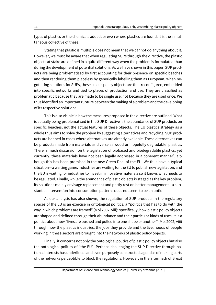types of plastics or the chemicals added, or even where plastics are found. It is the simultaneous collective of these.

Stating that plastic is multiple does not mean that we cannot do anything about it. However, we must be aware that when regulating SUPs through the directive, the plastic objects at stake are defined in a quite different way when the problem is formulated than during the development of potential solutions. As we have shown in this paper, SUP products are being problematised by first accounting for their presence on specific beaches and then rendering them placeless by generically labelling them as European. When negotiating solutions for SUPs, these plastic policy objects are thus reconfigured, embedded into specific networks and tied to places of production and use. They are classified as problematic because they are made to be single use, not because they are used once. We thus identified an important rupture between the making of a problem and the developing of its respective solutions.

This is also visible in how the measures proposed in the directive are outlined. What is actually being problematised in the SUP Directive is the abundance of SUP products on specific beaches, not the actual features of these objects. The EU plastics strategy as a whole thus aims to solve the problem by suggesting alternatives and recycling. SUP products are banned in cases where alternatives are already available. These alternatives can be products made from materials as diverse as wood or 'hopefully degradable' plastics. There is much discussion on the legislation of biobased and biodegradable plastics, yet currently, these materials have not been legally addressed in a coherent manner<sup>8</sup>, although this has been promised in the new Green Deal of the EU. We thus have a typical situation—a waiting game. Industries are waiting for the EU to publish new legislation, and the EU is waiting for industries to invest in innovative materials so it knows what needs to be regulated. Finally, while the abundance of plastic objects is staged as the key problem, its solutions mainly envisage replacement and partly rest on better management—a substantial intervention into consumption patterns does not seem to be an option.

As our analysis has also shown, the regulation of SUP products in the regulatory spaces of the EU is an exercise in ontological politics, a "politics that has to do with the way in which problems are framed" (Mol 2002, viii); specifically, how plastic policy objects are shaped and defined through their abundance and their particular kinds of uses. It is a politics about how "lives are pushed and pulled into one shape or another" (Mol 2002, viii) through how the plastics industries, the jobs they provide and the livelihoods of people working in these sectors are brought into the networks of plastic policy objects.

Finally, it concerns not only the ontological politics of plastic policy objects but also the ontological politics of "the EU". Perhaps challenging the SUP Directive through national interests has underlined, and even purposely constructed, agendas of making parts of the networks perceptible to block the regulations. However, in the aftermath of Brexit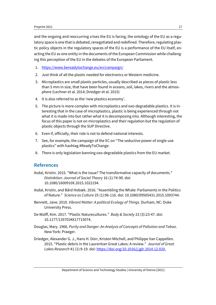and the ongoing and reoccurring crises the EU is facing, the ontology of the EU as a regulatory space is one that is debated, renegotiated and redefined. Therefore, regulating plastic policy objects in the regulatory spaces of the EU is a performance of the EU itself, enacting the EU as one entity in the documents of the European Commission while challenging this perception of the EU in the debates of the European Parliament.

- 1. https://www.bereadytochange.eu/en/campaign/
- 2. Just think of all the plastic needed for electronics or Western medicine.
- 3. Microplastics are small plastic particles, usually described as pieces of plastic less than 5 mm in size, that have been found in oceans, soil, lakes, rivers and the atmosphere (Lechner et al. 2014; Driedger et al. 2015)
- 4. It is also referred to as the 'new plastics economy'.
- 5. The picture is more complex with microplastics and oxo-degradable plastics. It is interesting that in the case of microplastics, plastic is being experienced through not what it is made into but rather what it is decomposing into. Although interesting, the focus of this paper is not on microplastics and their regulation but the regulation of plastic objects through the SUP Directive.
- 6. Even if, officially, their role is not to defend national interests.
- 7. See, for example, the campaign of the EC on "The seductive power of single-use plastics" with hashtag #ReadyToChange.
- 8. There is only legislation banning oxo-degradable plastics from the EU market.

## **References**

- Asdal, Kristin. 2015. "What is the issue? The transformative capacity of documents." *Distinktion: Journal of Social Theory* 16 (1):74-90. doi: 10.1080/1600910X.2015.1022194.
- Asdal, Kristin, and Bård Hobæk. 2016. "Assembling the Whale: Parliaments in the Politics of Nature." *Science as Culture* 25 (1):96-116. doi: 10.1080/09505431.2015.1093744.
- Bennett, Jane. 2010. *Vibrant Matter: A political Ecology of Things*. Durham, NC: Duke University Press.
- De Wolff, Kim. 2017. "Plastic Naturecultures." *Body & Society* 23 (3):23-47. doi: 10.1177/1357034X17715074.
- Douglas, Mary. 1966. *Purity and Danger: An Analysis of Concepts of Pollution and Taboo*. New York: Praeger.
- Driedger, Alexander G. J., Hans H. Dürr, Kristen Mitchell, and Philippe Van Cappellen. 2015. "Plastic debris in the Laurentian Great Lakes: A review." *Journal of Great Lakes Research* 41 (1):9-19. doi: https://doi.org/10.1016/j.jglr.2014.12.020.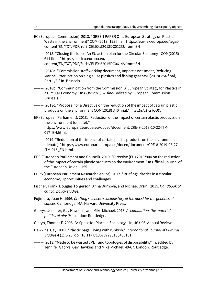- EC (European Commission). 2013. "GREEN PAPER On a European Strategy on Plastic Waste in the Environment" COM (2013) 123 final. https://eur-lex.europa.eu/legalcontent/EN/TXT/PDF/?uri=CELEX:52013DC0123&from=EN
- ———. 2015. "Closing the loop An EU action plan for the Circular Economy COM(2015) 614 final." https://eur-lex.europa.eu/legalcontent/EN/TXT/PDF/?uri=CELEX:52015DC0614&from=EN.
- ———. 2018a. "Commission staff working document, Impact assessment, Reducing Marine Litter: action on single use plasitcs and fishing gear SWD(2018) 254 final, Part 1/3." In. Brussels.
- ———. 2018b. "Communication from the Commission: A European Strategy for Plastics in a Circular Economy." In *COM(2018) 28 final*, edited by European Commission. Brussels.
- ———. 2018c. "Proposal for a Directive on the reduction of the impact of cetrain plastic products on the environment COM(2018) 340 final." In *2018/0172 (COD)*.
- EP (European Parliament). 2018. "Reduction of the impact of certain plastic products on the environment (debate)." https://www.europarl.europa.eu/doceo/document/CRE-8-2018-10-22-ITM-017\_EN.html.
- ———. 2019. "Reduction of the impact of certain plastic products on the environment (debate)." https://www.europarl.europa.eu/doceo/document/CRE-8-2019-03-27- ITM-015\_EN.html.
- EPC (European Parliament and Council). 2019. "Directive (EU) 2019/904 on the reduction of the impact of certain plastic products on the environment." In Official Journal of the European Union L 155.
- EPRS (European Parliament Research Service). 2017. "Briefing: Plastics in a circular economy, Opportunities and challenges."
- Fischer, Frank, Douglas Torgerson, Anna Durnová, and Michael Orsini. 2015. *Handbook of critical policy studies*.
- Fujimura, Joan H. 1996. *Crafting science: a sociohistory of the quest for the genetics of cancer*. Cambridge, MA: Harvard University Press.
- Gabrys, Jennifer, Gay Hawkins, and Mike Michael. 2013. *Accumulation: the material politics of plastic*. London: Routledge.
- Gieryn, Thomas F. 2008. "A Space for Place in Sociology." In, 463-96. Annual Reviews.
- Hawkins, Gay. 2001. "Plastic bags: Living with rubbish." *International Journal of Cultural Studies* 4 (1):5-23. doi: 10.1177/136787790100400101.
- ———. 2013. "Made to be wasted : PET and topologies of disposability." In, edited by Jennifer Gabrys, Gay Hawkins and Mike Michael, 49-67. London: Routledge.